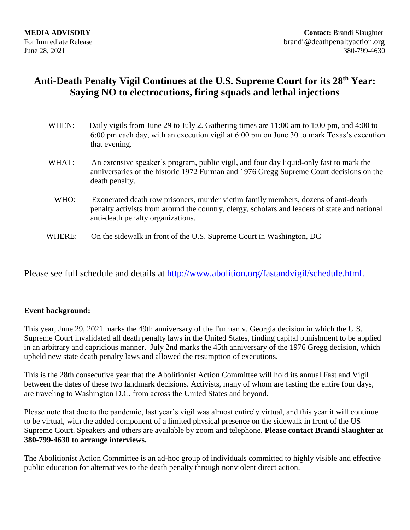## **Anti-Death Penalty Vigil Continues at the U.S. Supreme Court for its 28 th Year: Saying NO to electrocutions, firing squads and lethal injections**

| WHEN:  | Daily vigils from June 29 to July 2. Gathering times are 11:00 am to 1:00 pm, and 4:00 to<br>6:00 pm each day, with an execution vigil at 6:00 pm on June 30 to mark Texas's execution<br>that evening.                  |
|--------|--------------------------------------------------------------------------------------------------------------------------------------------------------------------------------------------------------------------------|
| WHAT:  | An extensive speaker's program, public vigil, and four day liquid-only fast to mark the<br>anniversaries of the historic 1972 Furman and 1976 Gregg Supreme Court decisions on the<br>death penalty.                     |
| WHO:   | Exonerated death row prisoners, murder victim family members, dozens of anti-death<br>penalty activists from around the country, clergy, scholars and leaders of state and national<br>anti-death penalty organizations. |
| WHERE: | On the sidewalk in front of the U.S. Supreme Court in Washington, DC                                                                                                                                                     |

Please see full schedule and details at [http://www.abolition.org/fastandvigil/schedule.html.](http://www.abolition.org/fastandvigil/schedule.html)

## **Event background:**

This year, June 29, 2021 marks the 49th anniversary of the Furman v. Georgia decision in which the U.S. Supreme Court invalidated all death penalty laws in the United States, finding capital punishment to be applied in an arbitrary and capricious manner. July 2nd marks the 45th anniversary of the 1976 Gregg decision, which upheld new state death penalty laws and allowed the resumption of executions.

This is the 28th consecutive year that the Abolitionist Action Committee will hold its annual Fast and Vigil between the dates of these two landmark decisions. Activists, many of whom are fasting the entire four days, are traveling to Washington D.C. from across the United States and beyond.

Please note that due to the pandemic, last year's vigil was almost entirely virtual, and this year it will continue to be virtual, with the added component of a limited physical presence on the sidewalk in front of the US Supreme Court. Speakers and others are available by zoom and telephone. **Please contact Brandi Slaughter at 380-799-4630 to arrange interviews.** 

The Abolitionist Action Committee is an ad-hoc group of individuals committed to highly visible and effective public education for alternatives to the death penalty through nonviolent direct action.